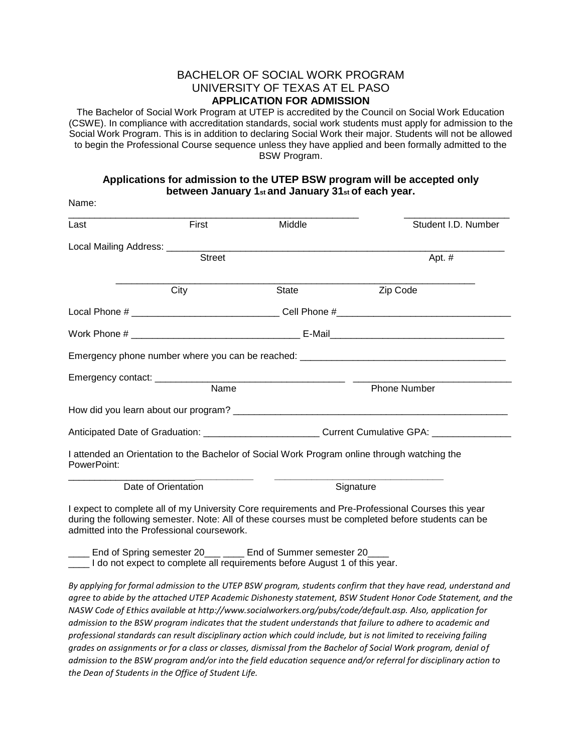## BACHELOR OF SOCIAL WORK PROGRAM UNIVERSITY OF TEXAS AT EL PASO **APPLICATION FOR ADMISSION**

The Bachelor of Social Work Program at UTEP is accredited by the Council on Social Work Education (CSWE). In compliance with accreditation standards, social work students must apply for admission to the Social Work Program. This is in addition to declaring Social Work their major. Students will not be allowed to begin the Professional Course sequence unless they have applied and been formally admitted to the BSW Program.

## **Applications for admission to the UTEP BSW program will be accepted only between January 1st and January 31st of each year.**

Name:

| Last                                       | First               | Middle                                                                                                           | Student I.D. Number                                                                                                                                                                                      |  |
|--------------------------------------------|---------------------|------------------------------------------------------------------------------------------------------------------|----------------------------------------------------------------------------------------------------------------------------------------------------------------------------------------------------------|--|
|                                            |                     |                                                                                                                  |                                                                                                                                                                                                          |  |
|                                            | <b>Street</b>       |                                                                                                                  | Apt. #                                                                                                                                                                                                   |  |
|                                            | City                | <b>State</b>                                                                                                     | Zip Code                                                                                                                                                                                                 |  |
|                                            |                     |                                                                                                                  |                                                                                                                                                                                                          |  |
|                                            |                     |                                                                                                                  |                                                                                                                                                                                                          |  |
|                                            |                     |                                                                                                                  |                                                                                                                                                                                                          |  |
|                                            |                     |                                                                                                                  |                                                                                                                                                                                                          |  |
|                                            | Name                |                                                                                                                  | <b>Phone Number</b>                                                                                                                                                                                      |  |
|                                            |                     |                                                                                                                  |                                                                                                                                                                                                          |  |
|                                            |                     |                                                                                                                  |                                                                                                                                                                                                          |  |
| PowerPoint:                                |                     |                                                                                                                  | I attended an Orientation to the Bachelor of Social Work Program online through watching the                                                                                                             |  |
|                                            | Date of Orientation |                                                                                                                  | Signature                                                                                                                                                                                                |  |
| admitted into the Professional coursework. |                     |                                                                                                                  | I expect to complete all of my University Core requirements and Pre-Professional Courses this year<br>during the following semester. Note: All of these courses must be completed before students can be |  |
|                                            |                     | $\Gamma$ and at $\Gamma$ a since $\Gamma$ a second contract $\Gamma$ and at $\Gamma$ is second contract $\Gamma$ |                                                                                                                                                                                                          |  |

\_\_\_\_ End of Spring semester 20\_\_\_ \_\_\_\_ End of Summer semester 20\_\_\_\_ \_\_\_\_ I do not expect to complete all requirements before August 1 of this year.

*By applying for formal admission to the UTEP BSW program, students confirm that they have read, understand and agree to abide by the attached UTEP Academic Dishonesty statement, BSW Student Honor Code Statement, and the NASW Code of Ethics available at http://www.socialworkers.org/pubs/code/default.asp. Also, application for admission to the BSW program indicates that the student understands that failure to adhere to academic and professional standards can result disciplinary action which could include, but is not limited to receiving failing grades on assignments or for a class or classes, dismissal from the Bachelor of Social Work program, denial of admission to the BSW program and/or into the field education sequence and/or referral for disciplinary action to the Dean of Students in the Office of Student Life.*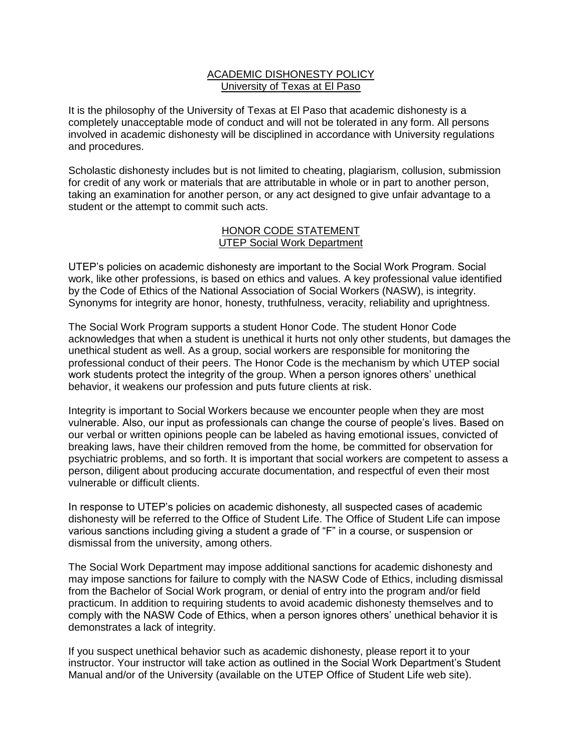## ACADEMIC DISHONESTY POLICY University of Texas at El Paso

It is the philosophy of the University of Texas at El Paso that academic dishonesty is a completely unacceptable mode of conduct and will not be tolerated in any form. All persons involved in academic dishonesty will be disciplined in accordance with University regulations and procedures.

Scholastic dishonesty includes but is not limited to cheating, plagiarism, collusion, submission for credit of any work or materials that are attributable in whole or in part to another person, taking an examination for another person, or any act designed to give unfair advantage to a student or the attempt to commit such acts.

### HONOR CODE STATEMENT UTEP Social Work Department

UTEP's policies on academic dishonesty are important to the Social Work Program. Social work, like other professions, is based on ethics and values. A key professional value identified by the Code of Ethics of the National Association of Social Workers (NASW), is integrity. Synonyms for integrity are honor, honesty, truthfulness, veracity, reliability and uprightness.

The Social Work Program supports a student Honor Code. The student Honor Code acknowledges that when a student is unethical it hurts not only other students, but damages the unethical student as well. As a group, social workers are responsible for monitoring the professional conduct of their peers. The Honor Code is the mechanism by which UTEP social work students protect the integrity of the group. When a person ignores others' unethical behavior, it weakens our profession and puts future clients at risk.

Integrity is important to Social Workers because we encounter people when they are most vulnerable. Also, our input as professionals can change the course of people's lives. Based on our verbal or written opinions people can be labeled as having emotional issues, convicted of breaking laws, have their children removed from the home, be committed for observation for psychiatric problems, and so forth. It is important that social workers are competent to assess a person, diligent about producing accurate documentation, and respectful of even their most vulnerable or difficult clients.

In response to UTEP's policies on academic dishonesty, all suspected cases of academic dishonesty will be referred to the Office of Student Life. The Office of Student Life can impose various sanctions including giving a student a grade of "F" in a course, or suspension or dismissal from the university, among others.

The Social Work Department may impose additional sanctions for academic dishonesty and may impose sanctions for failure to comply with the NASW Code of Ethics, including dismissal from the Bachelor of Social Work program, or denial of entry into the program and/or field practicum. In addition to requiring students to avoid academic dishonesty themselves and to comply with the NASW Code of Ethics, when a person ignores others' unethical behavior it is demonstrates a lack of integrity.

If you suspect unethical behavior such as academic dishonesty, please report it to your instructor. Your instructor will take action as outlined in the Social Work Department's Student Manual and/or of the University (available on the UTEP Office of Student Life web site).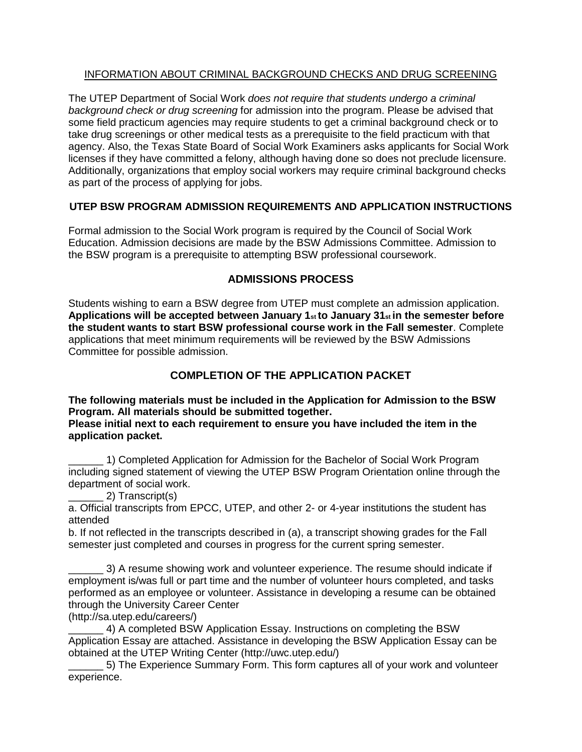## INFORMATION ABOUT CRIMINAL BACKGROUND CHECKS AND DRUG SCREENING

The UTEP Department of Social Work *does not require that students undergo a criminal background check or drug screening* for admission into the program. Please be advised that some field practicum agencies may require students to get a criminal background check or to take drug screenings or other medical tests as a prerequisite to the field practicum with that agency. Also, the Texas State Board of Social Work Examiners asks applicants for Social Work licenses if they have committed a felony, although having done so does not preclude licensure. Additionally, organizations that employ social workers may require criminal background checks as part of the process of applying for jobs.

# **UTEP BSW PROGRAM ADMISSION REQUIREMENTS AND APPLICATION INSTRUCTIONS**

Formal admission to the Social Work program is required by the Council of Social Work Education. Admission decisions are made by the BSW Admissions Committee. Admission to the BSW program is a prerequisite to attempting BSW professional coursework.

# **ADMISSIONS PROCESS**

Students wishing to earn a BSW degree from UTEP must complete an admission application. **Applications will be accepted between January 1st to January 31st in the semester before the student wants to start BSW professional course work in the Fall semester**. Complete applications that meet minimum requirements will be reviewed by the BSW Admissions Committee for possible admission.

# **COMPLETION OF THE APPLICATION PACKET**

**The following materials must be included in the Application for Admission to the BSW Program. All materials should be submitted together.** 

**Please initial next to each requirement to ensure you have included the item in the application packet.** 

\_\_\_\_\_\_ 1) Completed Application for Admission for the Bachelor of Social Work Program including signed statement of viewing the UTEP BSW Program Orientation online through the department of social work.

\_\_\_\_\_\_ 2) Transcript(s)

a. Official transcripts from EPCC, UTEP, and other 2- or 4-year institutions the student has attended

b. If not reflected in the transcripts described in (a), a transcript showing grades for the Fall semester just completed and courses in progress for the current spring semester.

3) A resume showing work and volunteer experience. The resume should indicate if employment is/was full or part time and the number of volunteer hours completed, and tasks performed as an employee or volunteer. Assistance in developing a resume can be obtained through the University Career Center

(http://sa.utep.edu/careers/)

4) A completed BSW Application Essay. Instructions on completing the BSW Application Essay are attached. Assistance in developing the BSW Application Essay can be obtained at the UTEP Writing Center (http://uwc.utep.edu/)

5) The Experience Summary Form. This form captures all of your work and volunteer experience.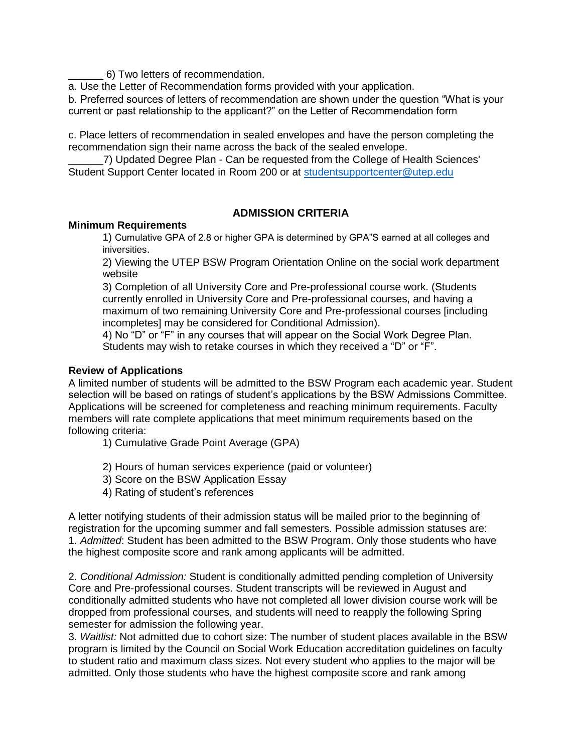\_\_\_\_\_\_ 6) Two letters of recommendation.

a. Use the Letter of Recommendation forms provided with your application.

b. Preferred sources of letters of recommendation are shown under the question "What is your current or past relationship to the applicant?" on the Letter of Recommendation form

c. Place letters of recommendation in sealed envelopes and have the person completing the recommendation sign their name across the back of the sealed envelope.

\_\_\_\_\_\_7) Updated Degree Plan - Can be requested from the College of Health Sciences' Student Support Center located in Room 200 or at [studentsupportcenter@utep.edu](mailto:studentsupportcenter@utep.edu)

# **ADMISSION CRITERIA**

## **Minimum Requirements**

1) Cumulative GPA of 2.8 or higher GPA is determined by GPA"S earned at all colleges and iniversities.

2) Viewing the UTEP BSW Program Orientation Online on the social work department website

3) Completion of all University Core and Pre-professional course work. (Students currently enrolled in University Core and Pre-professional courses, and having a maximum of two remaining University Core and Pre-professional courses [including incompletes] may be considered for Conditional Admission).

4) No "D" or "F" in any courses that will appear on the Social Work Degree Plan. Students may wish to retake courses in which they received a "D" or "F".

## **Review of Applications**

A limited number of students will be admitted to the BSW Program each academic year. Student selection will be based on ratings of student's applications by the BSW Admissions Committee. Applications will be screened for completeness and reaching minimum requirements. Faculty members will rate complete applications that meet minimum requirements based on the following criteria:

1) Cumulative Grade Point Average (GPA)

- 2) Hours of human services experience (paid or volunteer)
- 3) Score on the BSW Application Essay
- 4) Rating of student's references

A letter notifying students of their admission status will be mailed prior to the beginning of registration for the upcoming summer and fall semesters. Possible admission statuses are: 1. *Admitted*: Student has been admitted to the BSW Program. Only those students who have the highest composite score and rank among applicants will be admitted.

2. *Conditional Admission:* Student is conditionally admitted pending completion of University Core and Pre-professional courses. Student transcripts will be reviewed in August and conditionally admitted students who have not completed all lower division course work will be dropped from professional courses, and students will need to reapply the following Spring semester for admission the following year.

3. *Waitlist:* Not admitted due to cohort size: The number of student places available in the BSW program is limited by the Council on Social Work Education accreditation guidelines on faculty to student ratio and maximum class sizes. Not every student who applies to the major will be admitted. Only those students who have the highest composite score and rank among